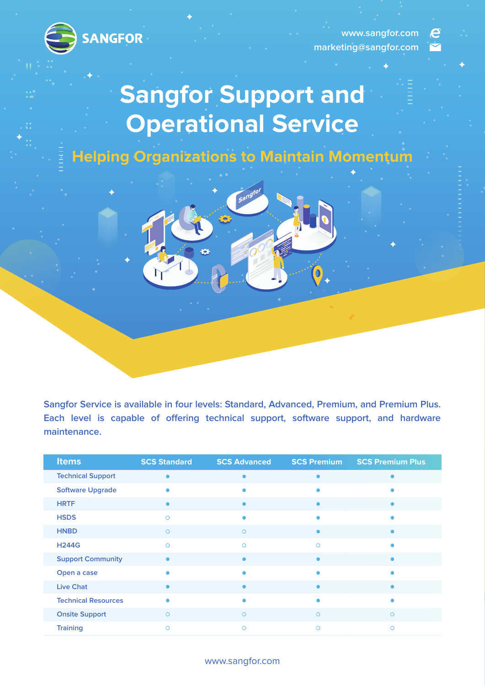

**www.sangfor.com marketing@sangfor.com**

e

# **Sangfor Support and Operational Service**

**Helping Organizations to Maintain Momentum**



| <b>Items</b>               | <b>SCS Standard</b> | <b>SCS Advanced</b> | <b>SCS Premium</b> | <b>SCS Premium Plus</b> |
|----------------------------|---------------------|---------------------|--------------------|-------------------------|
| <b>Technical Support</b>   |                     | ٠                   |                    |                         |
| <b>Software Upgrade</b>    |                     |                     |                    |                         |
| <b>HRTF</b>                |                     | ٠                   | $\bullet$          |                         |
| <b>HSDS</b>                | $\circ$             | $\bullet$           |                    |                         |
| <b>HNBD</b>                | $\circ$             | $\circ$             |                    |                         |
| <b>H244G</b>               | $\circ$             | $\circ$             | $\circ$            |                         |
| <b>Support Community</b>   |                     | $\bullet$           |                    |                         |
| Open a case                |                     | ٠                   |                    |                         |
| <b>Live Chat</b>           |                     | $\bullet$           |                    |                         |
| <b>Technical Resources</b> |                     | $\bullet$           |                    |                         |
| <b>Onsite Support</b>      | $\circ$             | $\circ$             | $\circ$            | $\bigcirc$              |
| <b>Training</b>            | $\circ$             | $\circ$             | $\circ$            | $\circ$                 |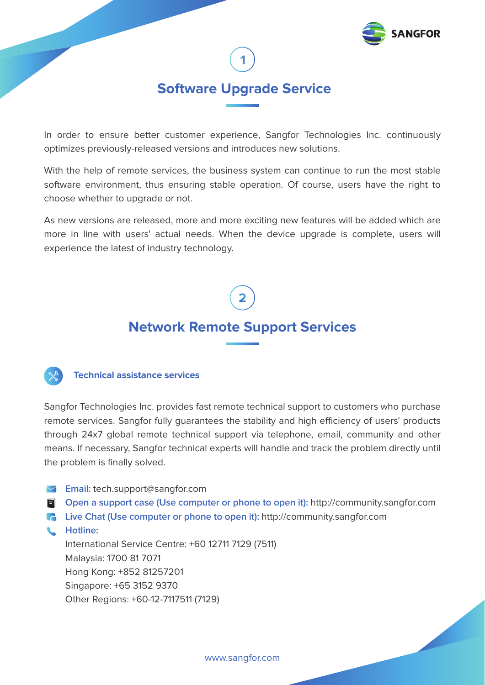

# **Software Upgrade Service**

In order to ensure better customer experience, Sangfor Technologies Inc. continuously optimizes previously-released versions and introduces new solutions.

With the help of remote services, the business system can continue to run the most stable software environment, thus ensuring stable operation. Of course, users have the right to choose whether to upgrade or not.

As new versions are released, more and more exciting new features will be added which are more in line with users' actual needs. When the device upgrade is complete, users will experience the latest of industry technology.

# **Network Remote Support Services**



# **Technical assistance services**

Sangfor Technologies Inc. provides fast remote technical support to customers who purchase remote services. Sangfor fully guarantees the stability and high efficiency of users' products through 24x7 global remote technical support via telephone, email, community and other means. If necessary, Sangfor technical experts will handle and track the problem directly until the problem is finally solved.

- **Email:** tech.support@sangfor.com
- **Open a support case (Use computer or phone to open it):** http://community.sangfor.com
- **Live Chat (Use computer or phone to open it):** http://community.sangfor.com
- **Hotline:**  International Service Centre: +60 12711 7129 (7511) Malaysia: 1700 81 7071 Hong Kong: +852 81257201 Singapore: +65 3152 9370 Other Regions: +60-12-7117511 (7129)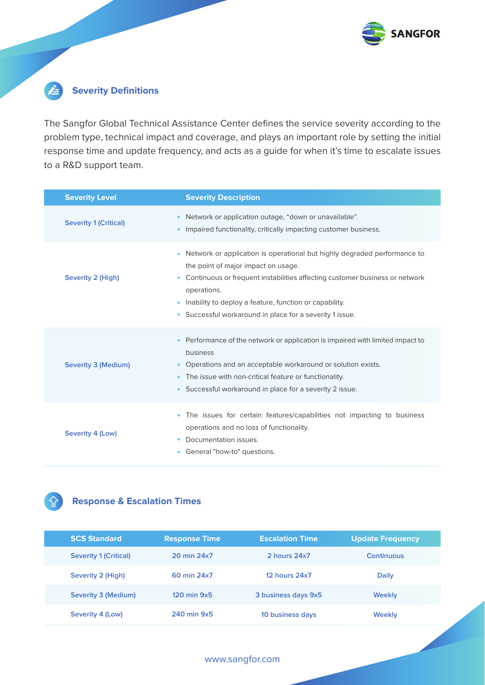

### E **Severity Definitions**

The Sangfor Global Technical Assistance Center defines the service severity according to the problem type, technical impact and coverage, and plays an important role by setting the initial response time and update frequency, and acts as a guide for when it's time to escalate issues to a R&D support team.

| <b>Severity Level</b>        | <b>Severity Description</b>                                                                                                                                                                                                                                                                                                                  |
|------------------------------|----------------------------------------------------------------------------------------------------------------------------------------------------------------------------------------------------------------------------------------------------------------------------------------------------------------------------------------------|
| <b>Severity 1 (Critical)</b> | Network or application outage, "down or unavailable".<br>٠<br>Impaired functionality, critically impacting customer business.                                                                                                                                                                                                                |
| Severity 2 (High)            | • Network or application is operational but highly degraded performance to<br>the point of major impact on usage.<br>Continuous or frequent instabilities affecting customer business or network<br>۰<br>operations.<br>• Inability to deploy a feature, function or capability.<br>• Successful workaround in place for a severity 1 issue. |
| Severity 3 (Medium)          | Performance of the network or application is impaired with limited impact to<br>business<br>• Operations and an acceptable workaround or solution exists.<br>• The issue with non-critical feature or functionality.<br>• Successful workaround in place for a severity 2 issue.                                                             |
| Severity 4 (Low)             | The issues for certain features/capabilities not impacting to business<br>٠<br>operations and no loss of functionality.<br>Documentation issues.<br>General "how-to" questions.<br>۰                                                                                                                                                         |

# **Response & Escalation Times**

| <b>SCS Standard</b>          | <b>Response Time</b>   | <b>Escalation Time</b> | <b>Update Frequency</b> |
|------------------------------|------------------------|------------------------|-------------------------|
| <b>Severity 1 (Critical)</b> | 20 min 24x7            | 2 hours 24x7           | <b>Continuous</b>       |
| Severity 2 (High)            | 60 min 24x7            | <b>12 hours 24x7</b>   | <b>Daily</b>            |
| Severity 3 (Medium)          | $120 \text{ min } 9x5$ | 3 business days 9x5    | <b>Weekly</b>           |
| Severity 4 (Low)             | 240 min 9x5            | 10 business days       | <b>Weekly</b>           |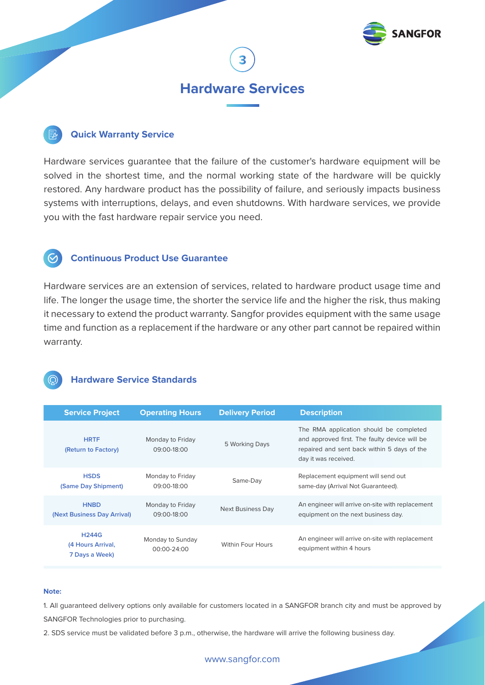

# **Hardware Services**

# **Quick Warranty Service**

Hardware services guarantee that the failure of the customer's hardware equipment will be solved in the shortest time, and the normal working state of the hardware will be quickly restored. Any hardware product has the possibility of failure, and seriously impacts business systems with interruptions, delays, and even shutdowns. With hardware services, we provide you with the fast hardware repair service you need.

# **Continuous Product Use Guarantee**

Hardware services are an extension of services, related to hardware product usage time and life. The longer the usage time, the shorter the service life and the higher the risk, thus making it necessary to extend the product warranty. Sangfor provides equipment with the same usage time and function as a replacement if the hardware or any other part cannot be repaired within warranty.



# **Hardware Service Standards**

| <b>Service Project</b>                              | <b>Operating Hours</b>          | <b>Delivery Period</b>   | <b>Description</b>                                                                                                                                              |
|-----------------------------------------------------|---------------------------------|--------------------------|-----------------------------------------------------------------------------------------------------------------------------------------------------------------|
| <b>HRTF</b><br>(Return to Factory)                  | Monday to Friday<br>09:00-18:00 | 5 Working Days           | The RMA application should be completed<br>and approved first. The faulty device will be<br>repaired and sent back within 5 days of the<br>day it was received. |
| <b>HSDS</b><br>(Same Day Shipment)                  | Monday to Friday<br>09:00-18:00 | Same-Day                 | Replacement equipment will send out<br>same-day (Arrival Not Guaranteed).                                                                                       |
| <b>HNBD</b><br>(Next Business Day Arrival)          | Monday to Friday<br>09:00-18:00 | <b>Next Business Day</b> | An engineer will arrive on-site with replacement<br>equipment on the next business day.                                                                         |
| <b>H244G</b><br>(4 Hours Arrival,<br>7 Days a Week) | Monday to Sunday<br>00:00-24:00 | <b>Within Four Hours</b> | An engineer will arrive on-site with replacement<br>equipment within 4 hours                                                                                    |

### **Note:**

1. All guaranteed delivery options only available for customers located in a SANGFOR branch city and must be approved by SANGFOR Technologies prior to purchasing.

2. SDS service must be validated before 3 p.m., otherwise, the hardware will arrive the following business day.